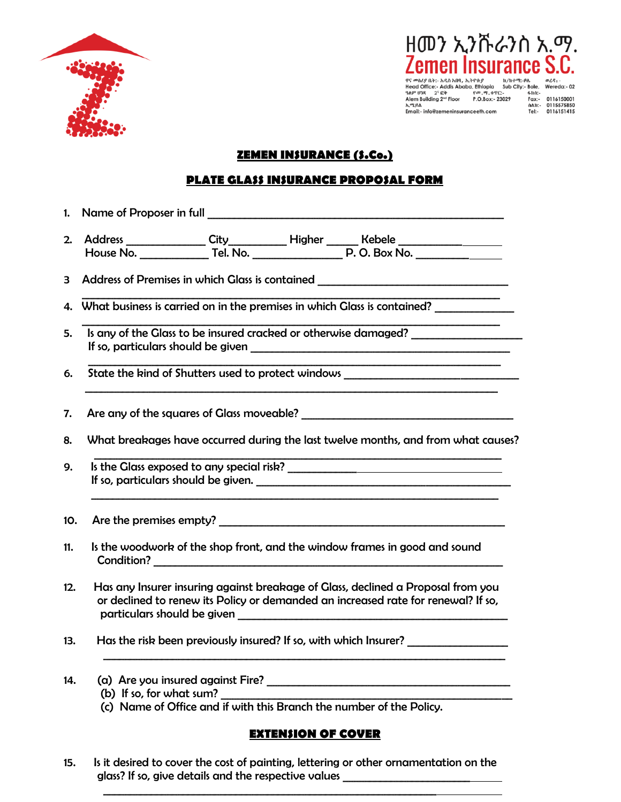

ዘመን ኢንሹራንስ አ.ማ. emen Insurance S.C.

**Promacle (i.e., ARA http://www.fragme.org/2018)**<br>
Promacle (i.e., ARA http://www.fragme.org/2018)<br>
Head Office:- Addis Ababa, Ethiopia Sub City:- Bole, Wereda:- 02<br>  $29.97^{\circ}$  U38  $2^{\circ}$  Evrope  $\frac{6m \cdot 19}{100 \cdot 100}$ <br>

# **ZEMEN INSURANCE (S.Co.)**

## **PLATE GLASS INSURANCE PROPOSAL FORM**

| 2.           |                                                                                                                                                                                                                                                                                          |  |  |  |
|--------------|------------------------------------------------------------------------------------------------------------------------------------------------------------------------------------------------------------------------------------------------------------------------------------------|--|--|--|
| $\mathbf{3}$ | Address of Premises in which Glass is contained ________________________________                                                                                                                                                                                                         |  |  |  |
|              | 4. What business is carried on in the premises in which Glass is contained?                                                                                                                                                                                                              |  |  |  |
| 5.           | Is any of the Glass to be insured cracked or otherwise damaged? ________________                                                                                                                                                                                                         |  |  |  |
| 6.           | State the kind of Shutters used to protect windows _____________________________                                                                                                                                                                                                         |  |  |  |
| 7.           |                                                                                                                                                                                                                                                                                          |  |  |  |
| 8.           | What breakages have occurred during the last twelve months, and from what causes?                                                                                                                                                                                                        |  |  |  |
| 9.           | If so, particulars should be given.                                                                                                                                                                                                                                                      |  |  |  |
| 10.          |                                                                                                                                                                                                                                                                                          |  |  |  |
| 11.          | Is the woodwork of the shop front, and the window frames in good and sound                                                                                                                                                                                                               |  |  |  |
| 12.          | Has any Insurer insuring against breakage of Glass, declined a Proposal from you<br>or declined to renew its Policy or demanded an increased rate for renewal? If so,<br>particulars should be given the contract of the contract of the contract of the contract of the contract of the |  |  |  |
| 13.          | Has the risk been previously insured? If so, with which Insurer? _______________                                                                                                                                                                                                         |  |  |  |
| 14.          | (b) If so, for what sum?                                                                                                                                                                                                                                                                 |  |  |  |

(c) Name of Office and if with this Branch the number of the Policy.

## **EXTENSION OF COVER**

15. Is it desired to cover the cost of painting, lettering or other ornamentation on the glass? If so, give details and the respective values \_  $\mathcal{L}_\text{max}$  , and the contribution of the contribution of the contribution of the contribution of the contribution of the contribution of the contribution of the contribution of the contribution of the contribution of t